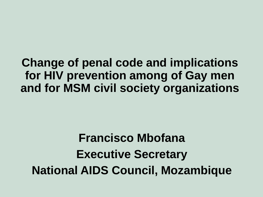#### **Change of penal code and implications for HIV prevention among of Gay men and for MSM civil society organizations**

# **Francisco Mbofana Executive Secretary National AIDS Council, Mozambique**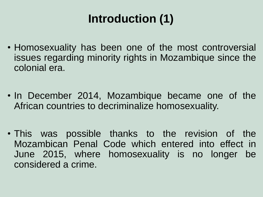## **Introduction (1)**

- Homosexuality has been one of the most controversial issues regarding minority rights in Mozambique since the colonial era.
- In December 2014, Mozambique became one of the African countries to decriminalize homosexuality.
- This was possible thanks to the revision of the Mozambican Penal Code which entered into effect in June 2015, where homosexuality is no longer be considered a crime.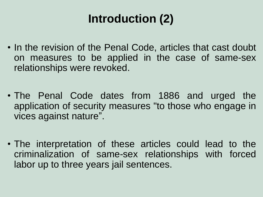## **Introduction (2)**

- In the revision of the Penal Code, articles that cast doubt on measures to be applied in the case of same-sex relationships were revoked.
- The Penal Code dates from 1886 and urged the application of security measures "to those who engage in vices against nature".
- The interpretation of these articles could lead to the criminalization of same-sex relationships with forced labor up to three years jail sentences.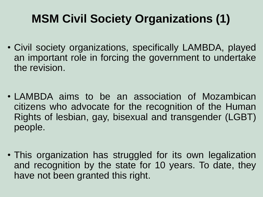### **MSM Civil Society Organizations (1)**

- Civil society organizations, specifically LAMBDA, played an important role in forcing the government to undertake the revision.
- LAMBDA aims to be an association of Mozambican citizens who advocate for the recognition of the Human Rights of lesbian, gay, bisexual and transgender (LGBT) people.
- This organization has struggled for its own legalization and recognition by the state for 10 years. To date, they have not been granted this right.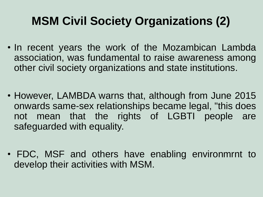### **MSM Civil Society Organizations (2)**

- In recent years the work of the Mozambican Lambda association, was fundamental to raise awareness among other civil society organizations and state institutions.
- However, LAMBDA warns that, although from June 2015 onwards same-sex relationships became legal, "this does not mean that the rights of LGBTI people are safeguarded with equality.
- FDC, MSF and others have enabling environmrnt to develop their activities with MSM.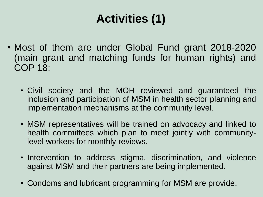## **Activities (1)**

- Most of them are under Global Fund grant 2018-2020 (main grant and matching funds for human rights) and COP 18:
	- Civil society and the MOH reviewed and guaranteed the inclusion and participation of MSM in health sector planning and implementation mechanisms at the community level.
	- MSM representatives will be trained on advocacy and linked to health committees which plan to meet jointly with communitylevel workers for monthly reviews.
	- Intervention to address stigma, discrimination, and violence against MSM and their partners are being implemented.
	- Condoms and lubricant programming for MSM are provide.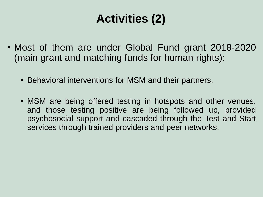## **Activities (2)**

- Most of them are under Global Fund grant 2018-2020 (main grant and matching funds for human rights):
	- Behavioral interventions for MSM and their partners.
	- MSM are being offered testing in hotspots and other venues, and those testing positive are being followed up, provided psychosocial support and cascaded through the Test and Start services through trained providers and peer networks.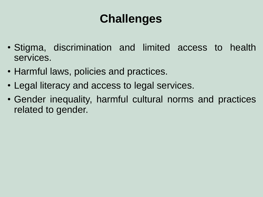#### **Challenges**

- Stigma, discrimination and limited access to health services.
- Harmful laws, policies and practices.
- Legal literacy and access to legal services.
- Gender inequality, harmful cultural norms and practices related to gender.